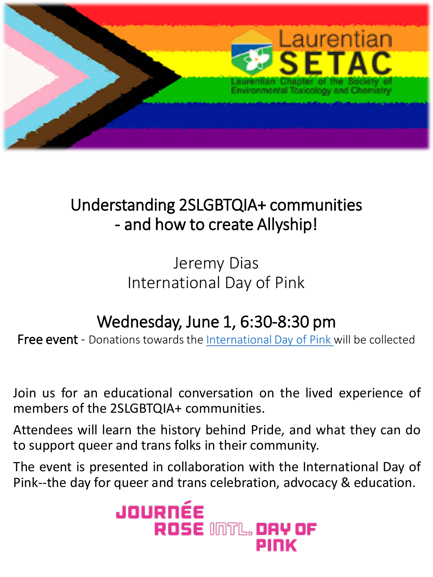

## Understanding 2SLGBTQIA+ communities - and how to create Allyship!

Jeremy Dias International Day of Pink

## Wednesday, June 1, 6:30-8:30 pm

Free event - Donations towards the [International Day of Pink w](https://www.dayofpink.org/)ill be collected

Join us for an educational conversation on the lived experience of

## members of the 2SLGBTQIA+ communities.

Attendees will learn the history behind Pride, and what they can do to support queer and trans folks in their community.

The event is presented in collaboration with the International Day of Pink--the day for queer and trans celebration, advocacy & education.